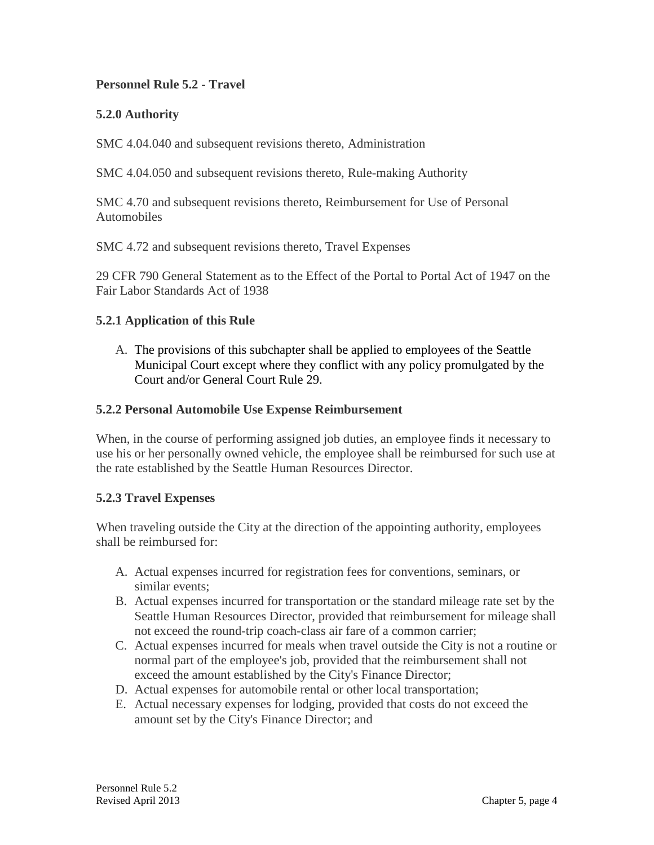## **Personnel Rule 5.2 - Travel**

## **5.2.0 Authority**

SMC 4.04.040 and subsequent revisions thereto, Administration

SMC 4.04.050 and subsequent revisions thereto, Rule-making Authority

SMC 4.70 and subsequent revisions thereto, Reimbursement for Use of Personal Automobiles

SMC 4.72 and subsequent revisions thereto, Travel Expenses

29 CFR 790 General Statement as to the Effect of the Portal to Portal Act of 1947 on the Fair Labor Standards Act of 1938

#### **5.2.1 Application of this Rule**

A. The provisions of this subchapter shall be applied to employees of the Seattle Municipal Court except where they conflict with any policy promulgated by the Court and/or General Court Rule 29.

#### **5.2.2 Personal Automobile Use Expense Reimbursement**

When, in the course of performing assigned job duties, an employee finds it necessary to use his or her personally owned vehicle, the employee shall be reimbursed for such use at the rate established by the Seattle Human Resources Director.

### **5.2.3 Travel Expenses**

When traveling outside the City at the direction of the appointing authority, employees shall be reimbursed for:

- A. Actual expenses incurred for registration fees for conventions, seminars, or similar events;
- B. Actual expenses incurred for transportation or the standard mileage rate set by the Seattle Human Resources Director, provided that reimbursement for mileage shall not exceed the round-trip coach-class air fare of a common carrier;
- C. Actual expenses incurred for meals when travel outside the City is not a routine or normal part of the employee's job, provided that the reimbursement shall not exceed the amount established by the City's Finance Director;
- D. Actual expenses for automobile rental or other local transportation;
- E. Actual necessary expenses for lodging, provided that costs do not exceed the amount set by the City's Finance Director; and